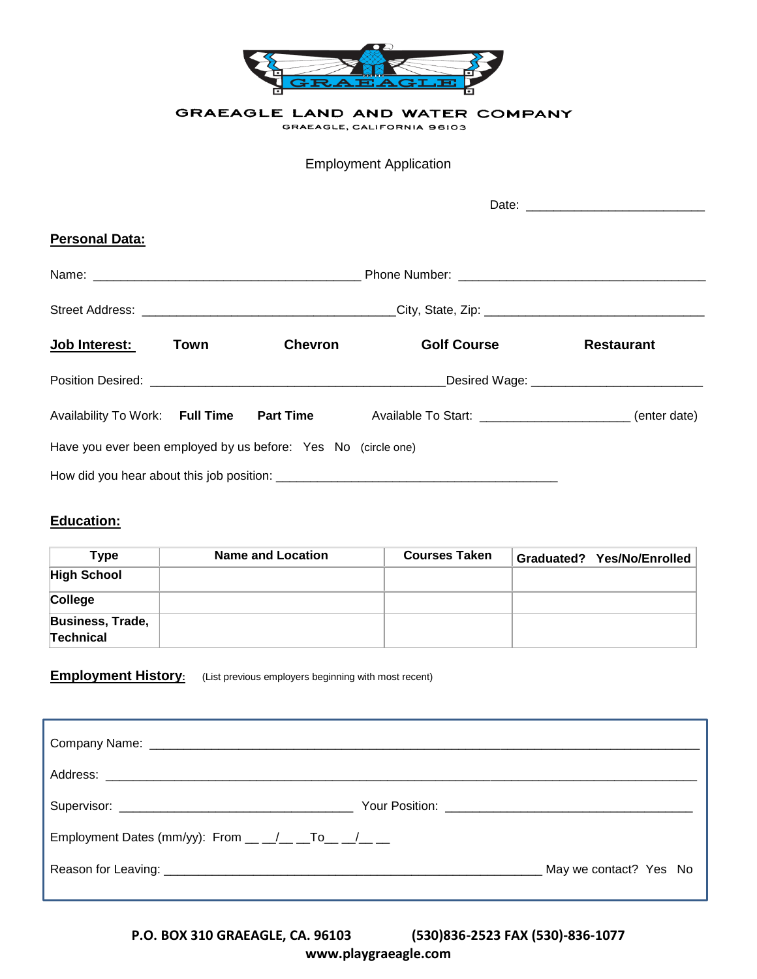

GRAEAGLE LAND AND WATER COMPANY

GRAEAGLE, CALIFORNIA 96103

Employment Application

| <b>Personal Data:</b>                                         |      |                |                                                                                               |                                                |
|---------------------------------------------------------------|------|----------------|-----------------------------------------------------------------------------------------------|------------------------------------------------|
|                                                               |      |                |                                                                                               |                                                |
|                                                               |      |                |                                                                                               |                                                |
| <b>Job Interest:</b>                                          | Town | <b>Chevron</b> | <b>Golf Course</b>                                                                            | <b>Restaurant</b>                              |
|                                                               |      |                |                                                                                               | _Desired Wage: _______________________________ |
|                                                               |      |                | Availability To Work: Full Time Part Time Available To Start: ___________________(enter date) |                                                |
| Have you ever been employed by us before: Yes No (circle one) |      |                |                                                                                               |                                                |
|                                                               |      |                |                                                                                               |                                                |

## **Education:**

| Type                                        | <b>Name and Location</b> | <b>Courses Taken</b> | Graduated? Yes/No/Enrolled |
|---------------------------------------------|--------------------------|----------------------|----------------------------|
| <b>High School</b>                          |                          |                      |                            |
| College                                     |                          |                      |                            |
| <b>Business, Trade,</b><br><b>Technical</b> |                          |                      |                            |

## **Employment History:** (List previous employers beginning with most recent)

| Employment Dates (mm/yy): From $\underline{\hspace{1cm}}$ $\underline{\hspace{1cm}}$ $\underline{\hspace{1cm}}$ $\underline{\hspace{1cm}}$ $\underline{\hspace{1cm}}$ $\underline{\hspace{1cm}}$ $\underline{\hspace{1cm}}$ $\underline{\hspace{1cm}}$ $\underline{\hspace{1cm}}$ $\underline{\hspace{1cm}}$ $\underline{\hspace{1cm}}$ $\underline{\hspace{1cm}}$ $\underline{\hspace{1cm}}$ $\underline{\hspace{1cm}}$ $\underline{\hspace{$ |                        |
|------------------------------------------------------------------------------------------------------------------------------------------------------------------------------------------------------------------------------------------------------------------------------------------------------------------------------------------------------------------------------------------------------------------------------------------------|------------------------|
|                                                                                                                                                                                                                                                                                                                                                                                                                                                | May we contact? Yes No |